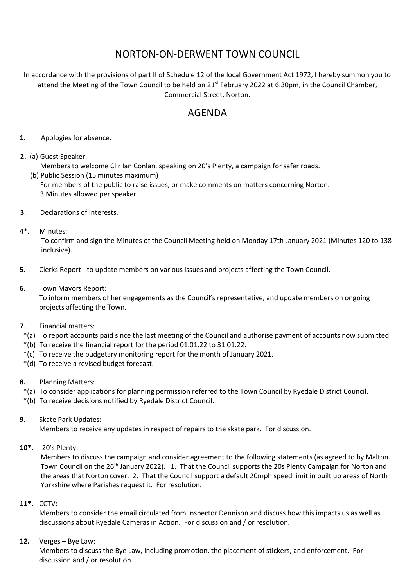## NORTON-ON-DERWENT TOWN COUNCIL

In accordance with the provisions of part II of Schedule 12 of the local Government Act 1972, I hereby summon you to attend the Meeting of the Town Council to be held on 21<sup>st</sup> February 2022 at 6.30pm, in the Council Chamber, Commercial Street, Norton.

## AGENDA

- **1.** Apologies for absence.
- **2.** (a) Guest Speaker.
	- Members to welcome Cllr Ian Conlan, speaking on 20's Plenty, a campaign for safer roads. (b) Public Session (15 minutes maximum) For members of the public to raise issues, or make comments on matters concerning Norton. 3 Minutes allowed per speaker.
- **3**. Declarations of Interests.
- 4\*. Minutes:

To confirm and sign the Minutes of the Council Meeting held on Monday 17th January 2021 (Minutes 120 to 138 inclusive).

- **5.** Clerks Report to update members on various issues and projects affecting the Town Council.
- **6.** Town Mayors Report:

 To inform members of her engagements as the Council's representative, and update members on ongoing projects affecting the Town.

- **7**. Financial matters:
- \*(a) To report accounts paid since the last meeting of the Council and authorise payment of accounts now submitted.
- \*(b) To receive the financial report for the period 01.01.22 to 31.01.22.
- \*(c) To receive the budgetary monitoring report for the month of January 2021.
- \*(d) To receive a revised budget forecast.
- **8.** Planning Matters:

\*(a) To consider applications for planning permission referred to the Town Council by Ryedale District Council.

- \*(b) To receive decisions notified by Ryedale District Council.
- **9.** Skate Park Updates:

Members to receive any updates in respect of repairs to the skate park. For discussion.

**10\*.** 20's Plenty:

Members to discuss the campaign and consider agreement to the following statements (as agreed to by Malton Town Council on the 26<sup>th</sup> January 2022). 1. That the Council supports the 20s Plenty Campaign for Norton and the areas that Norton cover. 2. That the Council support a default 20mph speed limit in built up areas of North Yorkshire where Parishes request it. For resolution.

**11\*.** CCTV:

Members to consider the email circulated from Inspector Dennison and discuss how this impacts us as well as discussions about Ryedale Cameras in Action. For discussion and / or resolution.

**12.** Verges – Bye Law:

Members to discuss the Bye Law, including promotion, the placement of stickers, and enforcement. For discussion and / or resolution.